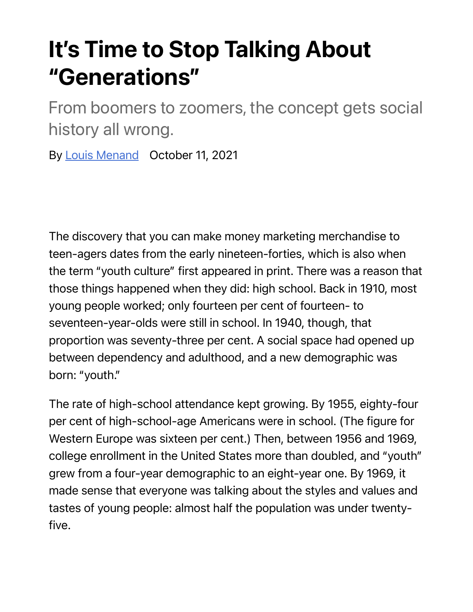## **It's Time to Stop Talking About "Generations"**

From boomers to zoomers, the concept gets social history all wrong.

By Louis Menand October 11, 2021

The discovery that you can make money marketing merchandise to teen-agers dates from the early nineteen-forties, which is also when the term "youth culture" first appeared in print. There was a reason that those things happened when they did: high school. Back in 1910, most young people worked; only fourteen per cent of fourteen- to seventeen-year-olds were still in school. In 1940, though, that proportion was seventy-three per cent. A social space had opened up between dependency and adulthood, and a new demographic was born: "youth."

The rate of high-school attendance kept growing. By 1955, eighty-four per cent of high-school-age Americans were in school. (The figure for Western Europe was sixteen per cent.) Then, between 1956 and 1969, college enrollment in the United States more than doubled, and "youth" grew from a four-year demographic to an eight-year one. By 1969, it made sense that everyone was talking about the styles and values and tastes of young people: almost half the population was under twentyfive.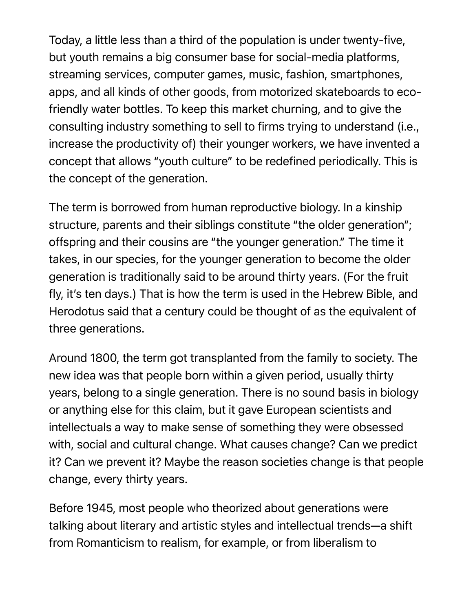Today, a little less than a third of the population is under twenty-five, but youth remains a big consumer base for social-media platforms, streaming services, computer games, music, fashion, smartphones, apps, and all kinds of other goods, from motorized skateboards to ecofriendly water bottles. To keep this market churning, and to give the consulting industry something to sell to firms trying to understand (i.e., increase the productivity of) their younger workers, we have invented a concept that allows "youth culture" to be redefined periodically. This is the concept of the generation.

The term is borrowed from human reproductive biology. In a kinship structure, parents and their siblings constitute "the older generation"; offspring and their cousins are "the younger generation." The time it takes, in our species, for the younger generation to become the older generation is traditionally said to be around thirty years. (For the fruit fly, it's ten days.) That is how the term is used in the Hebrew Bible, and Herodotus said that a century could be thought of as the equivalent of three generations.

Around 1800, the term got transplanted from the family to society. The new idea was that people born within a given period, usually thirty years, belong to a single generation. There is no sound basis in biology or anything else for this claim, but it gave European scientists and intellectuals a way to make sense of something they were obsessed with, social and cultural change. What causes change? Can we predict it? Can we prevent it? Maybe the reason societies change is that people change, every thirty years.

Before 1945, most people who theorized about generations were talking about literary and artistic styles and intellectual trends—a shift from Romanticism to realism, for example, or from liberalism to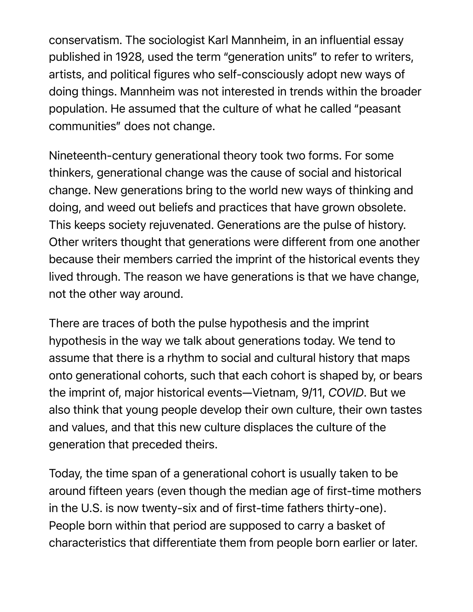conservatism. The sociologist Karl Mannheim, in an influential essay published in 1928, used the term "generation units" to refer to writers, artists, and political figures who self-consciously adopt new ways of doing things. Mannheim was not interested in trends within the broader population. He assumed that the culture of what he called "peasant communities" does not change.

Nineteenth-century generational theory took two forms. For some thinkers, generational change was the cause of social and historical change. New generations bring to the world new ways of thinking and doing, and weed out beliefs and practices that have grown obsolete. This keeps society rejuvenated. Generations are the pulse of history. Other writers thought that generations were different from one another because their members carried the imprint of the historical events they lived through. The reason we have generations is that we have change, not the other way around.

There are traces of both the pulse hypothesis and the imprint hypothesis in the way we talk about generations today. We tend to assume that there is a rhythm to social and cultural history that maps onto generational cohorts, such that each cohort is shaped by, or bears the imprint of, major historical events—Vietnam, 9/11, *COVID*. But we also think that young people develop their own culture, their own tastes and values, and that this new culture displaces the culture of the generation that preceded theirs.

Today, the time span of a generational cohort is usually taken to be around fifteen years (even though the median age of first-time mothers in the U.S. is now twenty-six and of first-time fathers thirty-one). People born within that period are supposed to carry a basket of characteristics that differentiate them from people born earlier or later.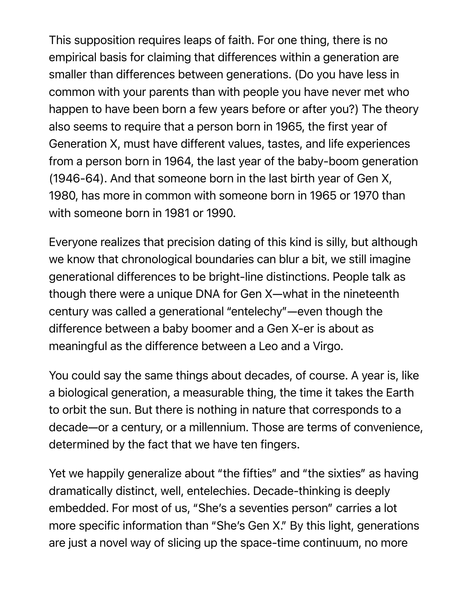This supposition requires leaps of faith. For one thing, there is no empirical basis for claiming that differences within a generation are smaller than differences between generations. (Do you have less in common with your parents than with people you have never met who happen to have been born a few years before or after you?) The theory also seems to require that a person born in 1965, the first year of Generation X, must have different values, tastes, and life experiences from a person born in 1964, the last year of the baby-boom generation (1946-64). And that someone born in the last birth year of Gen X, 1980, has more in common with someone born in 1965 or 1970 than with someone born in 1981 or 1990.

Everyone realizes that precision dating of this kind is silly, but although we know that chronological boundaries can blur a bit, we still imagine generational differences to be bright-line distinctions. People talk as though there were a unique DNA for Gen X—what in the nineteenth century was called a generational "entelechy"—even though the difference between a baby boomer and a Gen X-er is about as meaningful as the difference between a Leo and a Virgo.

You could say the same things about decades, of course. A year is, like a biological generation, a measurable thing, the time it takes the Earth to orbit the sun. But there is nothing in nature that corresponds to a decade—or a century, or a millennium. Those are terms of convenience, determined by the fact that we have ten fingers.

Yet we happily generalize about "the fifties" and "the sixties" as having dramatically distinct, well, entelechies. Decade-thinking is deeply embedded. For most of us, "She's a seventies person" carries a lot more specific information than "She's Gen X." By this light, generations are just a novel way of slicing up the space-time continuum, no more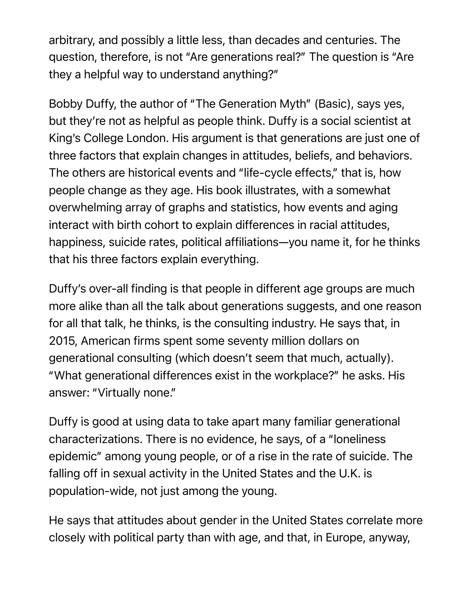arbitrary, and possibly a little less, than decades and centuries. The question, therefore, is not "Are generations real?" The question is "Are they a helpful way to understand anything?"

Bobby Duffy, the author of "The Generation Myth" (Basic), says yes, but they're not as helpful as people think. Duffy is a social scientist at King's College London. His argument is that generations are just one of three factors that explain changes in attitudes, beliefs, and behaviors. The others are historical events and "life-cycle effects," that is, how people change as they age. His book illustrates, with a somewhat overwhelming array of graphs and statistics, how events and aging interact with birth cohort to explain differences in racial attitudes, happiness, suicide rates, political affiliations—you name it, for he thinks that his three factors explain everything.

Duffy's over-all finding is that people in different age groups are much more alike than all the talk about generations suggests, and one reason for all that talk, he thinks, is the consulting industry. He says that, in 2015, American firms spent some seventy million dollars on generational consulting (which doesn't seem that much, actually). "What generational differences exist in the workplace?" he asks. His answer: "Virtually none."

Duffy is good at using data to take apart many familiar generational characterizations. There is no evidence, he says, of a "loneliness epidemic" among young people, or of a rise in the rate of suicide. The falling off in sexual activity in the United States and the U.K. is population-wide, not just among the young.

He says that attitudes about gender in the United States correlate more closely with political party than with age, and that, in Europe, anyway,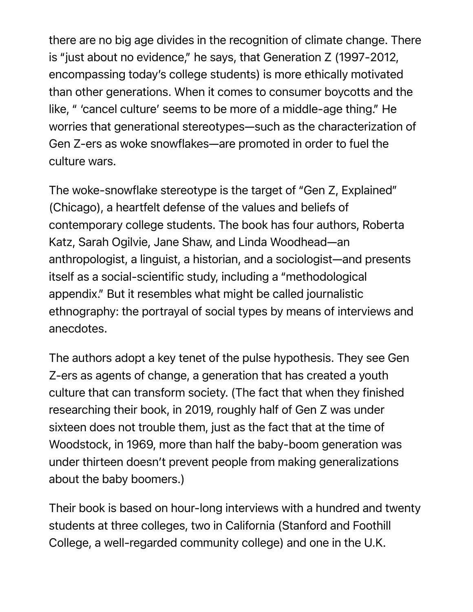there are no big age divides in the recognition of climate change. There is "just about no evidence," he says, that Generation Z (1997-2012, encompassing today's college students) is more ethically motivated than other generations. When it comes to consumer boycotts and the like, " 'cancel culture' seems to be more of a middle-age thing." He worries that generational stereotypes—such as the characterization of Gen Z-ers as woke snowflakes—are promoted in order to fuel the culture wars.

The woke-snowflake stereotype is the target of "Gen Z, Explained" (Chicago), a heartfelt defense of the values and beliefs of contemporary college students. The book has four authors, Roberta Katz, Sarah Ogilvie, Jane Shaw, and Linda Woodhead—an anthropologist, a linguist, a historian, and a sociologist—and presents itself as a social-scientific study, including a "methodological appendix." But it resembles what might be called journalistic ethnography: the portrayal of social types by means of interviews and anecdotes.

The authors adopt a key tenet of the pulse hypothesis. They see Gen Z-ers as agents of change, a generation that has created a youth culture that can transform society. (The fact that when they finished researching their book, in 2019, roughly half of Gen Z was under sixteen does not trouble them, just as the fact that at the time of Woodstock, in 1969, more than half the baby-boom generation was under thirteen doesn't prevent people from making generalizations about the baby boomers.)

Their book is based on hour-long interviews with a hundred and twenty students at three colleges, two in California (Stanford and Foothill College, a well-regarded community college) and one in the U.K.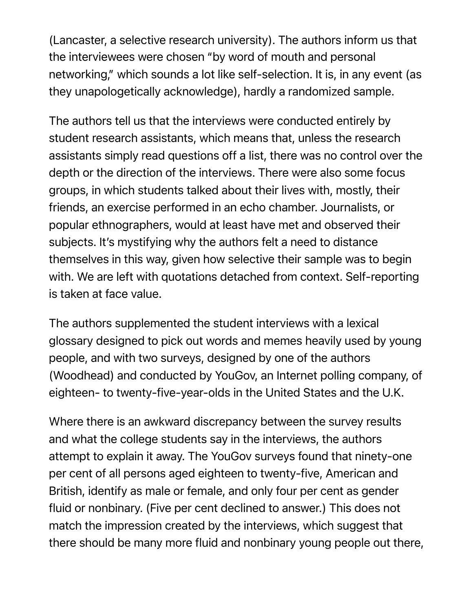(Lancaster, a selective research university). The authors inform us that the interviewees were chosen "by word of mouth and personal networking," which sounds a lot like self-selection. It is, in any event (as they unapologetically acknowledge), hardly a randomized sample.

The authors tell us that the interviews were conducted entirely by student research assistants, which means that, unless the research assistants simply read questions off a list, there was no control over the depth or the direction of the interviews. There were also some focus groups, in which students talked about their lives with, mostly, their friends, an exercise performed in an echo chamber. Journalists, or popular ethnographers, would at least have met and observed their subjects. It's mystifying why the authors felt a need to distance themselves in this way, given how selective their sample was to begin with. We are left with quotations detached from context. Self-reporting is taken at face value.

The authors supplemented the student interviews with a lexical glossary designed to pick out words and memes heavily used by young people, and with two surveys, designed by one of the authors (Woodhead) and conducted by YouGov, an Internet polling company, of eighteen- to twenty-five-year-olds in the United States and the U.K.

Where there is an awkward discrepancy between the survey results and what the college students say in the interviews, the authors attempt to explain it away. The YouGov surveys found that ninety-one per cent of all persons aged eighteen to twenty-five, American and British, identify as male or female, and only four per cent as gender fluid or nonbinary. (Five per cent declined to answer.) This does not match the impression created by the interviews, which suggest that there should be many more fluid and nonbinary young people out there,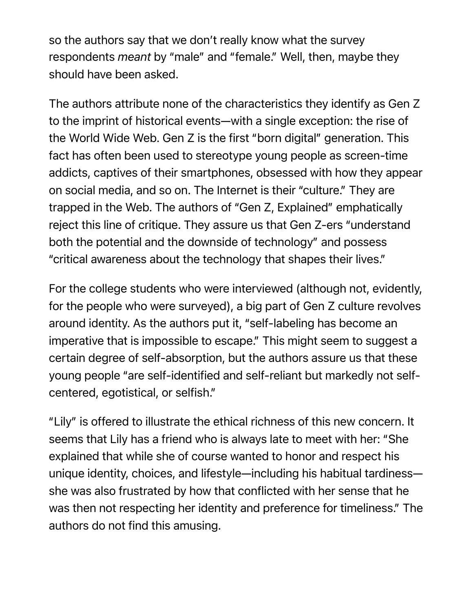so the authors say that we don't really know what the survey respondents *meant* by "male" and "female." Well, then, maybe they should have been asked.

The authors attribute none of the characteristics they identify as Gen Z to the imprint of historical events—with a single exception: the rise of the World Wide Web. Gen Z is the first "born digital" generation. This fact has often been used to stereotype young people as screen-time addicts, captives of their smartphones, obsessed with how they appear on social media, and so on. The Internet is their "culture." They are trapped in the Web. The authors of "Gen Z, Explained" emphatically reject this line of critique. They assure us that Gen Z-ers "understand both the potential and the downside of technology" and possess "critical awareness about the technology that shapes their lives."

For the college students who were interviewed (although not, evidently, for the people who were surveyed), a big part of Gen Z culture revolves around identity. As the authors put it, "self-labeling has become an imperative that is impossible to escape." This might seem to suggest a certain degree of self-absorption, but the authors assure us that these young people "are self-identified and self-reliant but markedly not selfcentered, egotistical, or selfish."

"Lily" is offered to illustrate the ethical richness of this new concern. It seems that Lily has a friend who is always late to meet with her: "She explained that while she of course wanted to honor and respect his unique identity, choices, and lifestyle—including his habitual tardiness she was also frustrated by how that conflicted with her sense that he was then not respecting her identity and preference for timeliness." The authors do not find this amusing.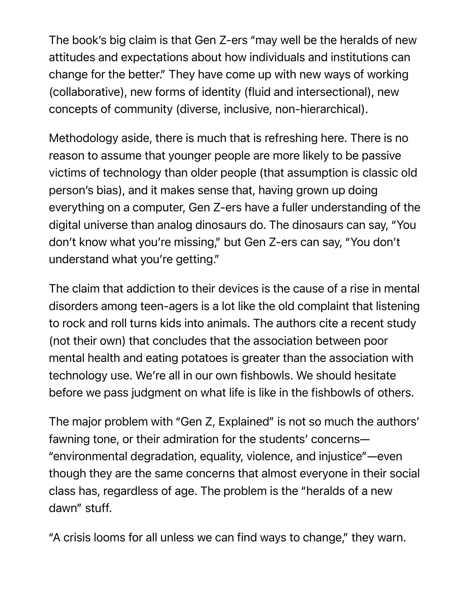The book's big claim is that Gen Z-ers "may well be the heralds of new attitudes and expectations about how individuals and institutions can change for the better." They have come up with new ways of working (collaborative), new forms of identity (fluid and intersectional), new concepts of community (diverse, inclusive, non-hierarchical).

Methodology aside, there is much that is refreshing here. There is no reason to assume that younger people are more likely to be passive victims of technology than older people (that assumption is classic old person's bias), and it makes sense that, having grown up doing everything on a computer, Gen Z-ers have a fuller understanding of the digital universe than analog dinosaurs do. The dinosaurs can say, "You don't know what you're missing," but Gen Z-ers can say, "You don't understand what you're getting."

The claim that addiction to their devices is the cause of a rise in mental disorders among teen-agers is a lot like the old complaint that listening to rock and roll turns kids into animals. The authors cite a recent study (not their own) that concludes that the association between poor mental health and eating potatoes is greater than the association with technology use. We're all in our own fishbowls. We should hesitate before we pass judgment on what life is like in the fishbowls of others.

The major problem with "Gen Z, Explained" is not so much the authors' fawning tone, or their admiration for the students' concerns— "environmental degradation, equality, violence, and injustice"—even though they are the same concerns that almost everyone in their social class has, regardless of age. The problem is the "heralds of a new dawn" stuff.

"A crisis looms for all unless we can find ways to change," they warn.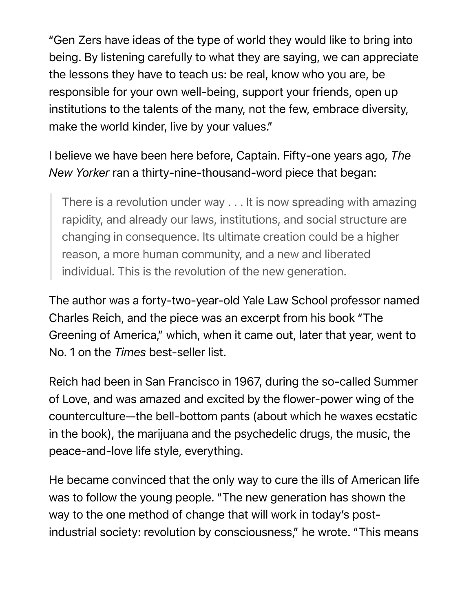"Gen Zers have ideas of the type of world they would like to bring into being. By listening carefully to what they are saying, we can appreciate the lessons they have to teach us: be real, know who you are, be responsible for your own well-being, support your friends, open up institutions to the talents of the many, not the few, embrace diversity, make the world kinder, live by your values."

I believe we have been here before, Captain. Fifty-one years ago, *The New Yorker* ran a thirty-nine-thousand-word piece that began:

There is a revolution under way . . . It is now spreading with amazing rapidity, and already our laws, institutions, and social structure are changing in consequence. Its ultimate creation could be a higher reason, a more human community, and a new and liberated individual. This is the revolution of the new generation.

The author was a forty-two-year-old Yale Law School professor named Charles Reich, and the piece was an excerpt from his book "The Greening of America," which, when it came out, later that year, went to No. 1 on the *Times* best-seller list.

Reich had been in San Francisco in 1967, during the so-called Summer of Love, and was amazed and excited by the flower-power wing of the counterculture—the bell-bottom pants (about which he waxes ecstatic in the book), the marijuana and the psychedelic drugs, the music, the peace-and-love life style, everything.

He became convinced that the only way to cure the ills of American life was to follow the young people. "The new generation has shown the way to the one method of change that will work in today's postindustrial society: revolution by consciousness," he wrote. "This means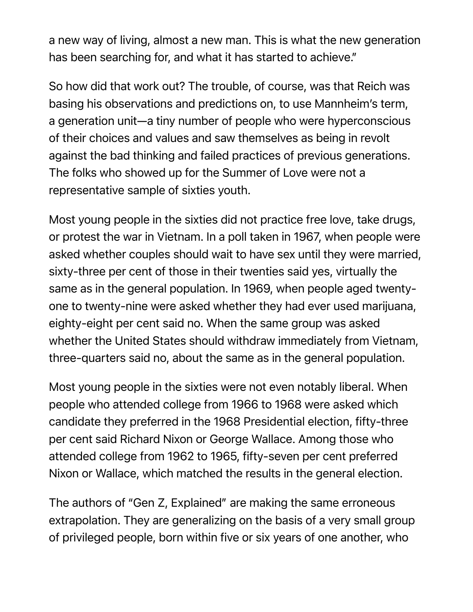a new way of living, almost a new man. This is what the new generation has been searching for, and what it has started to achieve."

So how did that work out? The trouble, of course, was that Reich was basing his observations and predictions on, to use Mannheim's term, a generation unit—a tiny number of people who were hyperconscious of their choices and values and saw themselves as being in revolt against the bad thinking and failed practices of previous generations. The folks who showed up for the Summer of Love were not a representative sample of sixties youth.

Most young people in the sixties did not practice free love, take drugs, or protest the war in Vietnam. In a poll taken in 1967, when people were asked whether couples should wait to have sex until they were married, sixty-three per cent of those in their twenties said yes, virtually the same as in the general population. In 1969, when people aged twentyone to twenty-nine were asked whether they had ever used marijuana, eighty-eight per cent said no. When the same group was asked whether the United States should withdraw immediately from Vietnam, three-quarters said no, about the same as in the general population.

Most young people in the sixties were not even notably liberal. When people who attended college from 1966 to 1968 were asked which candidate they preferred in the 1968 Presidential election, fifty-three per cent said Richard Nixon or George Wallace. Among those who attended college from 1962 to 1965, fifty-seven per cent preferred Nixon or Wallace, which matched the results in the general election.

The authors of "Gen Z, Explained" are making the same erroneous extrapolation. They are generalizing on the basis of a very small group of privileged people, born within five or six years of one another, who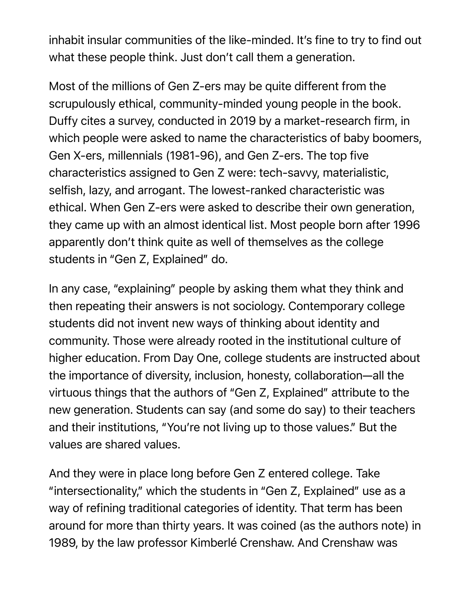inhabit insular communities of the like-minded. It's fine to try to find out what these people think. Just don't call them a generation.

Most of the millions of Gen Z-ers may be quite different from the scrupulously ethical, community-minded young people in the book. Duffy cites a survey, conducted in 2019 by a market-research firm, in which people were asked to name the characteristics of baby boomers, Gen X-ers, millennials (1981-96), and Gen Z-ers. The top five characteristics assigned to Gen Z were: tech-savvy, materialistic, selfish, lazy, and arrogant. The lowest-ranked characteristic was ethical. When Gen Z-ers were asked to describe their own generation, they came up with an almost identical list. Most people born after 1996 apparently don't think quite as well of themselves as the college students in "Gen Z, Explained" do.

In any case, "explaining" people by asking them what they think and then repeating their answers is not sociology. Contemporary college students did not invent new ways of thinking about identity and community. Those were already rooted in the institutional culture of higher education. From Day One, college students are instructed about the importance of diversity, inclusion, honesty, collaboration—all the virtuous things that the authors of "Gen Z, Explained" attribute to the new generation. Students can say (and some do say) to their teachers and their institutions, "You're not living up to those values." But the values are shared values.

And they were in place long before Gen Z entered college. Take "intersectionality," which the students in "Gen Z, Explained" use as a way of refining traditional categories of identity. That term has been around for more than thirty years. It was coined (as the authors note) in 1989, by the law professor Kimberlé Crenshaw. And Crenshaw was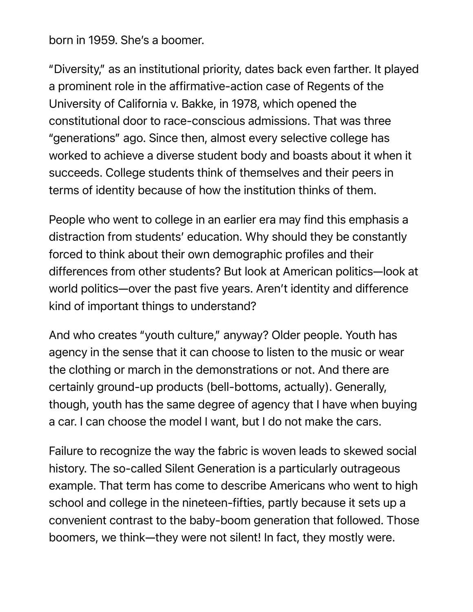born in 1959. She's a boomer.

"Diversity," as an institutional priority, dates back even farther. It played a prominent role in the affirmative-action case of Regents of the University of California v. Bakke, in 1978, which opened the constitutional door to race-conscious admissions. That was three "generations" ago. Since then, almost every selective college has worked to achieve a diverse student body and boasts about it when it succeeds. College students think of themselves and their peers in terms of identity because of how the institution thinks of them.

People who went to college in an earlier era may find this emphasis a distraction from students' education. Why should they be constantly forced to think about their own demographic profiles and their differences from other students? But look at American politics—look at world politics—over the past five years. Aren't identity and difference kind of important things to understand?

And who creates "youth culture," anyway? Older people. Youth has agency in the sense that it can choose to listen to the music or wear the clothing or march in the demonstrations or not. And there are certainly ground-up products (bell-bottoms, actually). Generally, though, youth has the same degree of agency that I have when buying a car. I can choose the model I want, but I do not make the cars.

Failure to recognize the way the fabric is woven leads to skewed social history. The so-called Silent Generation is a particularly outrageous example. That term has come to describe Americans who went to high school and college in the nineteen-fifties, partly because it sets up a convenient contrast to the baby-boom generation that followed. Those boomers, we think—they were not silent! In fact, they mostly were.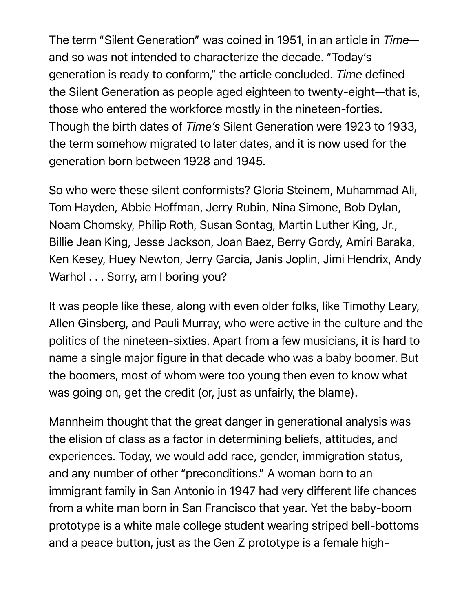The term "Silent Generation" was coined in 1951, in an article in *Time* and so was not intended to characterize the decade. "Today's generation is ready to conform," the article concluded. *Time* defined the Silent Generation as people aged eighteen to twenty-eight—that is, those who entered the workforce mostly in the nineteen-forties. Though the birth dates of *Time's* Silent Generation were 1923 to 1933, the term somehow migrated to later dates, and it is now used for the generation born between 1928 and 1945.

So who were these silent conformists? Gloria Steinem, Muhammad Ali, Tom Hayden, Abbie Hoffman, Jerry Rubin, Nina Simone, Bob Dylan, Noam Chomsky, Philip Roth, Susan Sontag, Martin Luther King, Jr., Billie Jean King, Jesse Jackson, Joan Baez, Berry Gordy, Amiri Baraka, Ken Kesey, Huey Newton, Jerry Garcia, Janis Joplin, Jimi Hendrix, Andy Warhol . . . Sorry, am I boring you?

It was people like these, along with even older folks, like Timothy Leary, Allen Ginsberg, and Pauli Murray, who were active in the culture and the politics of the nineteen-sixties. Apart from a few musicians, it is hard to name a single major figure in that decade who was a baby boomer. But the boomers, most of whom were too young then even to know what was going on, get the credit (or, just as unfairly, the blame).

Mannheim thought that the great danger in generational analysis was the elision of class as a factor in determining beliefs, attitudes, and experiences. Today, we would add race, gender, immigration status, and any number of other "preconditions." A woman born to an immigrant family in San Antonio in 1947 had very different life chances from a white man born in San Francisco that year. Yet the baby-boom prototype is a white male college student wearing striped bell-bottoms and a peace button, just as the Gen Z prototype is a female high